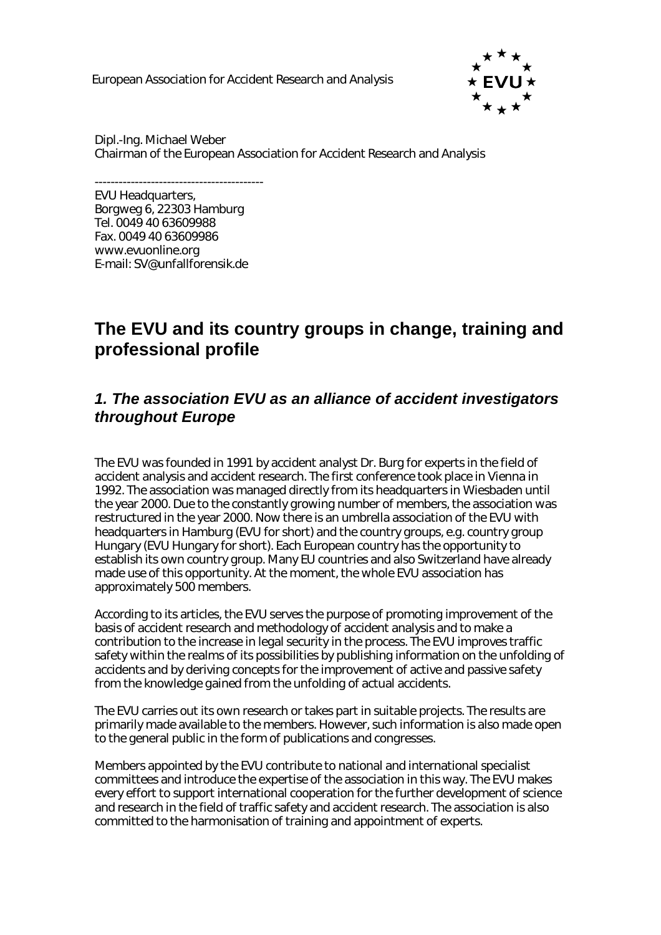European Association for Accident Research and Analysis



Dipl.-Ing. Michael Weber Chairman of the European Association for Accident Research and Analysis

------------------------------------------ EVU Headquarters, Borgweg 6, 22303 Hamburg Tel. 0049 40 63609988 Fax. 0049 40 63609986 www.evuonline.org E-mail: SV@unfallforensik.de

# **The EVU and its country groups in change, training and professional profile**

### *1. The association EVU as an alliance of accident investigators throughout Europe*

The EVU was founded in 1991 by accident analyst Dr. Burg for experts in the field of accident analysis and accident research. The first conference took place in Vienna in 1992. The association was managed directly from its headquarters in Wiesbaden until the year 2000. Due to the constantly growing number of members, the association was restructured in the year 2000. Now there is an umbrella association of the EVU with headquarters in Hamburg (EVU for short) and the country groups, e.g. country group Hungary (EVU Hungary for short). Each European country has the opportunity to establish its own country group. Many EU countries and also Switzerland have already made use of this opportunity. At the moment, the whole EVU association has approximately 500 members.

According to its articles, the EVU serves the purpose of promoting improvement of the basis of accident research and methodology of accident analysis and to make a contribution to the increase in legal security in the process. The EVU improves traffic safety within the realms of its possibilities by publishing information on the unfolding of accidents and by deriving concepts for the improvement of active and passive safety from the knowledge gained from the unfolding of actual accidents.

The EVU carries out its own research or takes part in suitable projects. The results are primarily made available to the members. However, such information is also made open to the general public in the form of publications and congresses.

Members appointed by the EVU contribute to national and international specialist committees and introduce the expertise of the association in this way. The EVU makes every effort to support international cooperation for the further development of science and research in the field of traffic safety and accident research. The association is also committed to the harmonisation of training and appointment of experts.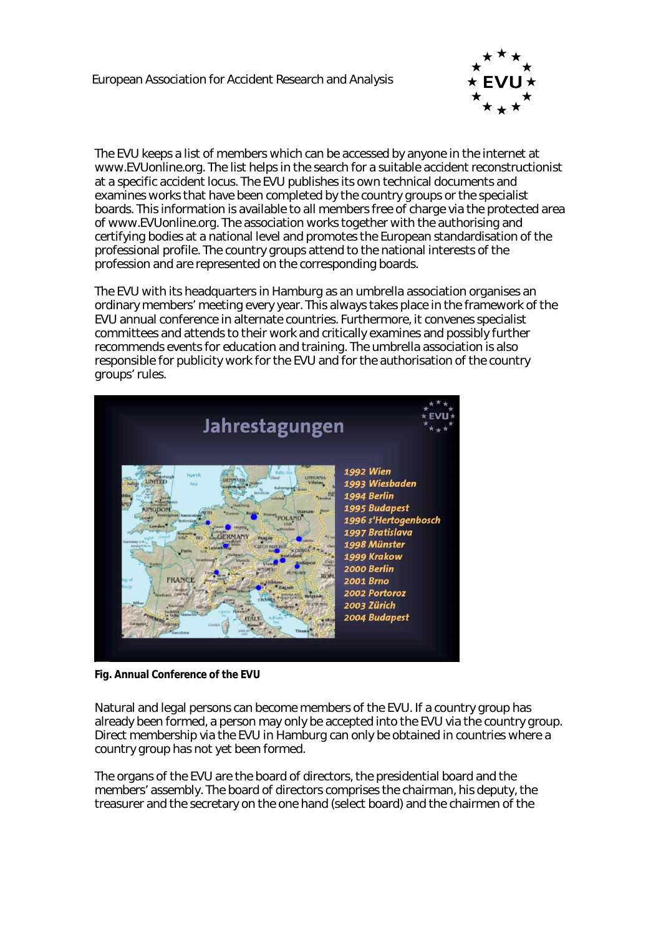

The EVU keeps a list of members which can be accessed by anyone in the internet at www.EVUonline.org. The list helps in the search for a suitable accident reconstructionist at a specific accident locus. The EVU publishes its own technical documents and examines works that have been completed by the country groups or the specialist boards. This information is available to all members free of charge via the protected area of www.EVUonline.org. The association works together with the authorising and certifying bodies at a national level and promotes the European standardisation of the professional profile. The country groups attend to the national interests of the profession and are represented on the corresponding boards.

The EVU with its headquarters in Hamburg as an umbrella association organises an ordinary members' meeting every year. This always takes place in the framework of the EVU annual conference in alternate countries. Furthermore, it convenes specialist committees and attends to their work and critically examines and possibly further recommends events for education and training. The umbrella association is also responsible for publicity work for the EVU and for the authorisation of the country groups' rules.



**Fig. Annual Conference of the EVU** 

Natural and legal persons can become members of the EVU. If a country group has already been formed, a person may only be accepted into the EVU via the country group. Direct membership via the EVU in Hamburg can only be obtained in countries where a country group has not yet been formed.

The organs of the EVU are the board of directors, the presidential board and the members' assembly. The board of directors comprises the chairman, his deputy, the treasurer and the secretary on the one hand (select board) and the chairmen of the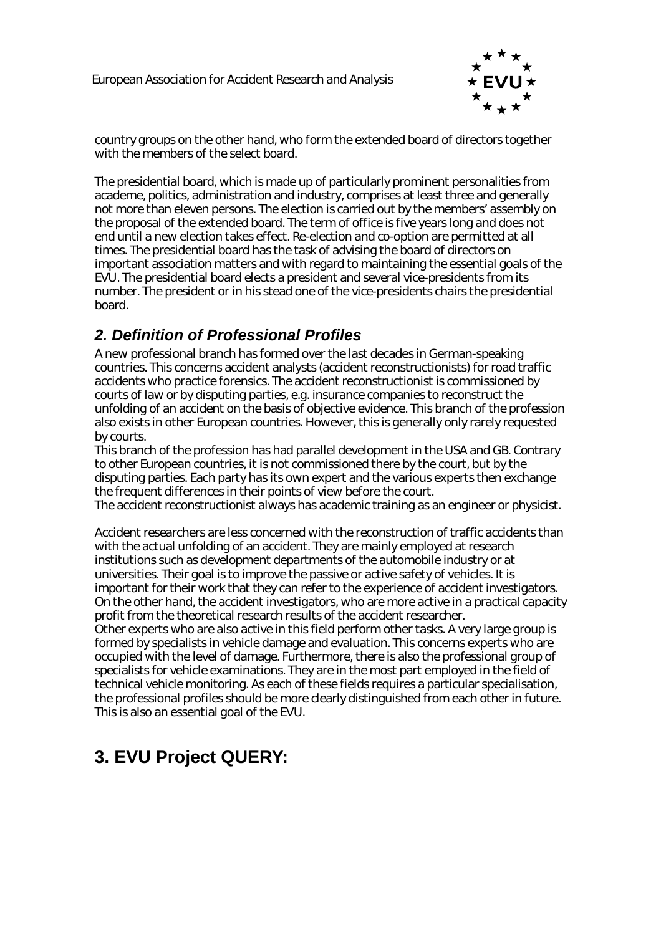

country groups on the other hand, who form the extended board of directors together with the members of the select board.

The presidential board, which is made up of particularly prominent personalities from academe, politics, administration and industry, comprises at least three and generally not more than eleven persons. The election is carried out by the members' assembly on the proposal of the extended board. The term of office is five years long and does not end until a new election takes effect. Re-election and co-option are permitted at all times. The presidential board has the task of advising the board of directors on important association matters and with regard to maintaining the essential goals of the EVU. The presidential board elects a president and several vice-presidents from its number. The president or in his stead one of the vice-presidents chairs the presidential board.

## *2. Definition of Professional Profiles*

A new professional branch has formed over the last decades in German-speaking countries. This concerns accident analysts (accident reconstructionists) for road traffic accidents who practice forensics. The accident reconstructionist is commissioned by courts of law or by disputing parties, e.g. insurance companies to reconstruct the unfolding of an accident on the basis of objective evidence. This branch of the profession also exists in other European countries. However, this is generally only rarely requested by courts.

This branch of the profession has had parallel development in the USA and GB. Contrary to other European countries, it is not commissioned there by the court, but by the disputing parties. Each party has its own expert and the various experts then exchange the frequent differences in their points of view before the court.

The accident reconstructionist always has academic training as an engineer or physicist.

Accident researchers are less concerned with the reconstruction of traffic accidents than with the actual unfolding of an accident. They are mainly employed at research institutions such as development departments of the automobile industry or at universities. Their goal is to improve the passive or active safety of vehicles. It is important for their work that they can refer to the experience of accident investigators. On the other hand, the accident investigators, who are more active in a practical capacity profit from the theoretical research results of the accident researcher.

Other experts who are also active in this field perform other tasks. A very large group is formed by specialists in vehicle damage and evaluation. This concerns experts who are occupied with the level of damage. Furthermore, there is also the professional group of specialists for vehicle examinations. They are in the most part employed in the field of technical vehicle monitoring. As each of these fields requires a particular specialisation, the professional profiles should be more clearly distinguished from each other in future. This is also an essential goal of the EVU.

# **3. EVU Project QUERY:**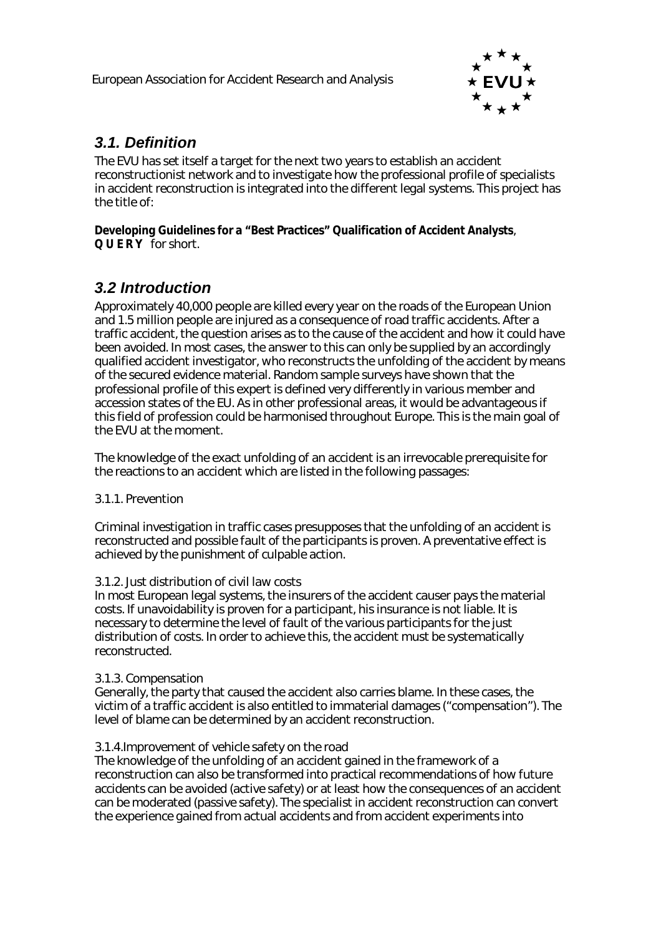

### *3.1. Definition*

The EVU has set itself a target for the next two years to establish an accident reconstructionist network and to investigate how the professional profile of specialists in accident reconstruction is integrated into the different legal systems. This project has the title of:

**Developing Guidelines for a "Best Practices" Qualification of Accident Analysts**, **Q U E R Y** for short.

## *3.2 Introduction*

Approximately 40,000 people are killed every year on the roads of the European Union and 1.5 million people are injured as a consequence of road traffic accidents. After a traffic accident, the question arises as to the cause of the accident and how it could have been avoided. In most cases, the answer to this can only be supplied by an accordingly qualified accident investigator, who reconstructs the unfolding of the accident by means of the secured evidence material. Random sample surveys have shown that the professional profile of this expert is defined very differently in various member and accession states of the EU. As in other professional areas, it would be advantageous if this field of profession could be harmonised throughout Europe. This is the main goal of the EVU at the moment.

The knowledge of the exact unfolding of an accident is an irrevocable prerequisite for the reactions to an accident which are listed in the following passages:

#### 3.1.1. Prevention

Criminal investigation in traffic cases presupposes that the unfolding of an accident is reconstructed and possible fault of the participants is proven. A preventative effect is achieved by the punishment of culpable action.

#### 3.1.2. Just distribution of civil law costs

In most European legal systems, the insurers of the accident causer pays the material costs. If unavoidability is proven for a participant, his insurance is not liable. It is necessary to determine the level of fault of the various participants for the just distribution of costs. In order to achieve this, the accident must be systematically reconstructed.

#### 3.1.3. Compensation

Generally, the party that caused the accident also carries blame. In these cases, the victim of a traffic accident is also entitled to immaterial damages ("compensation"). The level of blame can be determined by an accident reconstruction.

#### 3.1.4.Improvement of vehicle safety on the road

The knowledge of the unfolding of an accident gained in the framework of a reconstruction can also be transformed into practical recommendations of how future accidents can be avoided (active safety) or at least how the consequences of an accident can be moderated (passive safety). The specialist in accident reconstruction can convert the experience gained from actual accidents and from accident experiments into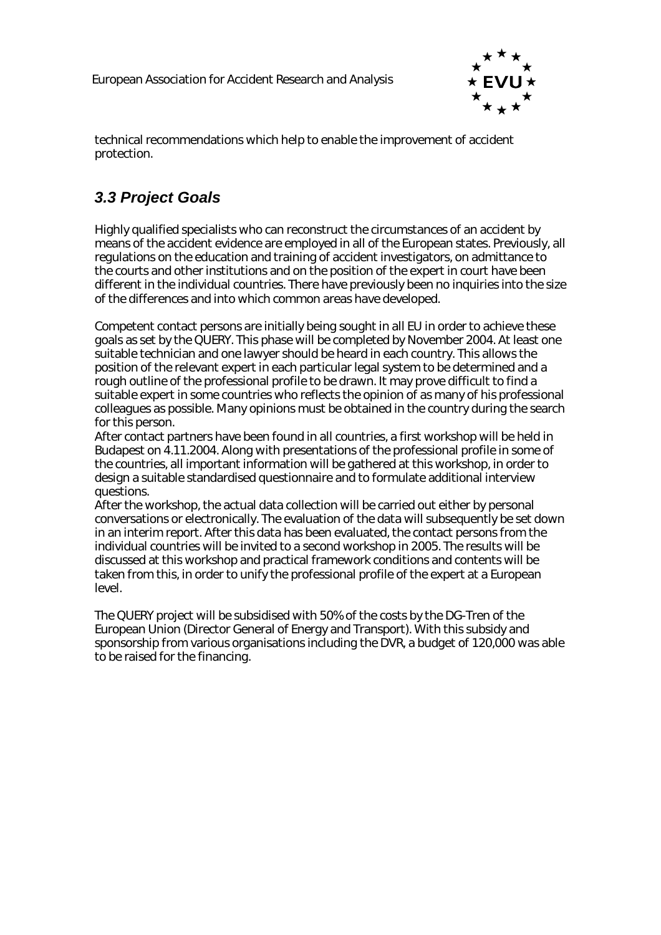

technical recommendations which help to enable the improvement of accident protection.

# *3.3 Project Goals*

Highly qualified specialists who can reconstruct the circumstances of an accident by means of the accident evidence are employed in all of the European states. Previously, all regulations on the education and training of accident investigators, on admittance to the courts and other institutions and on the position of the expert in court have been different in the individual countries. There have previously been no inquiries into the size of the differences and into which common areas have developed.

Competent contact persons are initially being sought in all EU in order to achieve these goals as set by the QUERY. This phase will be completed by November 2004. At least one suitable technician and one lawyer should be heard in each country. This allows the position of the relevant expert in each particular legal system to be determined and a rough outline of the professional profile to be drawn. It may prove difficult to find a suitable expert in some countries who reflects the opinion of as many of his professional colleagues as possible. Many opinions must be obtained in the country during the search for this person.

After contact partners have been found in all countries, a first workshop will be held in Budapest on 4.11.2004. Along with presentations of the professional profile in some of the countries, all important information will be gathered at this workshop, in order to design a suitable standardised questionnaire and to formulate additional interview questions.

After the workshop, the actual data collection will be carried out either by personal conversations or electronically. The evaluation of the data will subsequently be set down in an interim report. After this data has been evaluated, the contact persons from the individual countries will be invited to a second workshop in 2005. The results will be discussed at this workshop and practical framework conditions and contents will be taken from this, in order to unify the professional profile of the expert at a European level.

The QUERY project will be subsidised with 50% of the costs by the DG-Tren of the European Union (Director General of Energy and Transport). With this subsidy and sponsorship from various organisations including the DVR, a budget of 120,000 was able to be raised for the financing.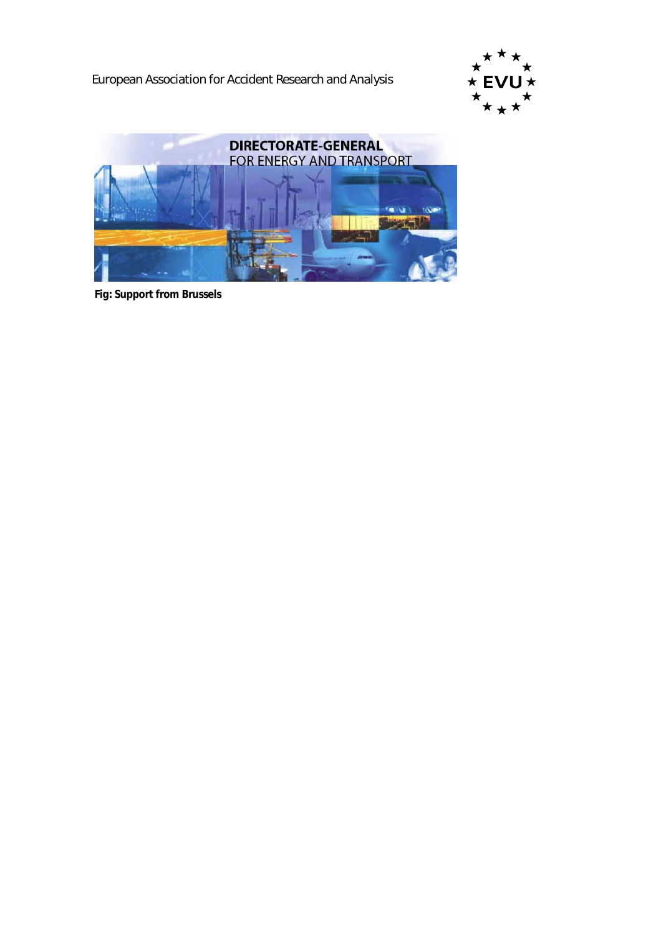European Association for Accident Research and Analysis





**Fig: Support from Brussels**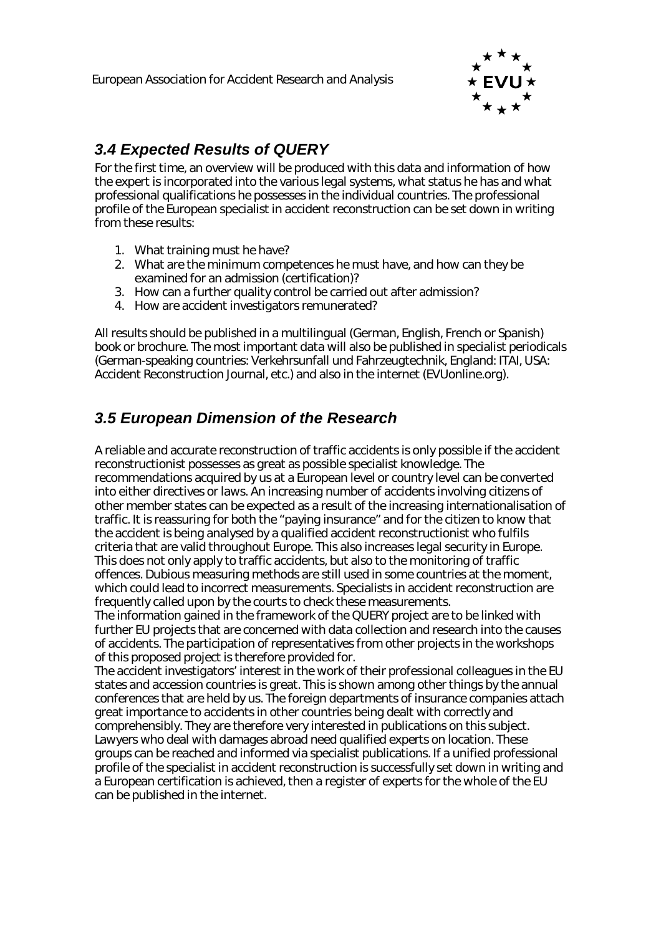

# *3.4 Expected Results of QUERY*

For the first time, an overview will be produced with this data and information of how the expert is incorporated into the various legal systems, what status he has and what professional qualifications he possesses in the individual countries. The professional profile of the European specialist in accident reconstruction can be set down in writing from these results:

- 1. What training must he have?
- 2. What are the minimum competences he must have, and how can they be examined for an admission (certification)?
- 3. How can a further quality control be carried out after admission?
- 4. How are accident investigators remunerated?

All results should be published in a multilingual (German, English, French or Spanish) book or brochure. The most important data will also be published in specialist periodicals (German-speaking countries: Verkehrsunfall und Fahrzeugtechnik, England: ITAI, USA: Accident Reconstruction Journal, etc.) and also in the internet (EVUonline.org).

### *3.5 European Dimension of the Research*

A reliable and accurate reconstruction of traffic accidents is only possible if the accident reconstructionist possesses as great as possible specialist knowledge. The recommendations acquired by us at a European level or country level can be converted into either directives or laws. An increasing number of accidents involving citizens of other member states can be expected as a result of the increasing internationalisation of traffic. It is reassuring for both the "paying insurance" and for the citizen to know that the accident is being analysed by a qualified accident reconstructionist who fulfils criteria that are valid throughout Europe. This also increases legal security in Europe. This does not only apply to traffic accidents, but also to the monitoring of traffic offences. Dubious measuring methods are still used in some countries at the moment, which could lead to incorrect measurements. Specialists in accident reconstruction are frequently called upon by the courts to check these measurements.

The information gained in the framework of the QUERY project are to be linked with further EU projects that are concerned with data collection and research into the causes of accidents. The participation of representatives from other projects in the workshops of this proposed project is therefore provided for.

The accident investigators' interest in the work of their professional colleagues in the EU states and accession countries is great. This is shown among other things by the annual conferences that are held by us. The foreign departments of insurance companies attach great importance to accidents in other countries being dealt with correctly and comprehensibly. They are therefore very interested in publications on this subject. Lawyers who deal with damages abroad need qualified experts on location. These groups can be reached and informed via specialist publications. If a unified professional profile of the specialist in accident reconstruction is successfully set down in writing and a European certification is achieved, then a register of experts for the whole of the EU can be published in the internet.